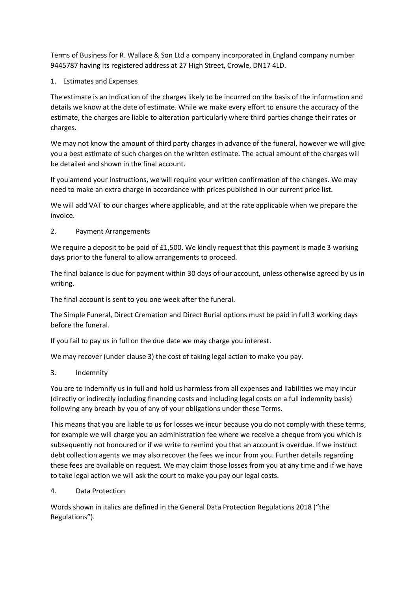Terms of Business for R. Wallace & Son Ltd a company incorporated in England company number 9445787 having its registered address at 27 High Street, Crowle, DN17 4LD.

1. Estimates and Expenses

The estimate is an indication of the charges likely to be incurred on the basis of the information and details we know at the date of estimate. While we make every effort to ensure the accuracy of the estimate, the charges are liable to alteration particularly where third parties change their rates or charges.

We may not know the amount of third party charges in advance of the funeral, however we will give you a best estimate of such charges on the written estimate. The actual amount of the charges will be detailed and shown in the final account.

If you amend your instructions, we will require your written confirmation of the changes. We may need to make an extra charge in accordance with prices published in our current price list.

We will add VAT to our charges where applicable, and at the rate applicable when we prepare the invoice.

## 2. Payment Arrangements

We require a deposit to be paid of £1,500. We kindly request that this payment is made 3 working days prior to the funeral to allow arrangements to proceed.

The final balance is due for payment within 30 days of our account, unless otherwise agreed by us in writing.

The final account is sent to you one week after the funeral.

The Simple Funeral, Direct Cremation and Direct Burial options must be paid in full 3 working days before the funeral.

If you fail to pay us in full on the due date we may charge you interest.

We may recover (under clause 3) the cost of taking legal action to make you pay.

3. Indemnity

You are to indemnify us in full and hold us harmless from all expenses and liabilities we may incur (directly or indirectly including financing costs and including legal costs on a full indemnity basis) following any breach by you of any of your obligations under these Terms.

This means that you are liable to us for losses we incur because you do not comply with these terms, for example we will charge you an administration fee where we receive a cheque from you which is subsequently not honoured or if we write to remind you that an account is overdue. If we instruct debt collection agents we may also recover the fees we incur from you. Further details regarding these fees are available on request. We may claim those losses from you at any time and if we have to take legal action we will ask the court to make you pay our legal costs.

4. Data Protection

Words shown in italics are defined in the General Data Protection Regulations 2018 ("the Regulations").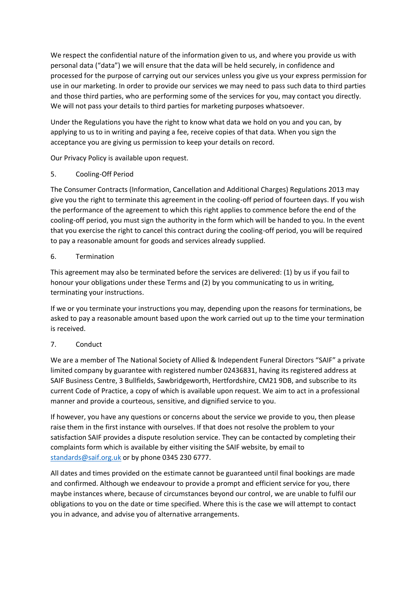We respect the confidential nature of the information given to us, and where you provide us with personal data ("data") we will ensure that the data will be held securely, in confidence and processed for the purpose of carrying out our services unless you give us your express permission for use in our marketing. In order to provide our services we may need to pass such data to third parties and those third parties, who are performing some of the services for you, may contact you directly. We will not pass your details to third parties for marketing purposes whatsoever.

Under the Regulations you have the right to know what data we hold on you and you can, by applying to us to in writing and paying a fee, receive copies of that data. When you sign the acceptance you are giving us permission to keep your details on record.

Our Privacy Policy is available upon request.

## 5. Cooling-Off Period

The Consumer Contracts (Information, Cancellation and Additional Charges) Regulations 2013 may give you the right to terminate this agreement in the cooling-off period of fourteen days. If you wish the performance of the agreement to which this right applies to commence before the end of the cooling-off period, you must sign the authority in the form which will be handed to you. In the event that you exercise the right to cancel this contract during the cooling-off period, you will be required to pay a reasonable amount for goods and services already supplied.

### 6. Termination

This agreement may also be terminated before the services are delivered: (1) by us if you fail to honour your obligations under these Terms and (2) by you communicating to us in writing, terminating your instructions.

If we or you terminate your instructions you may, depending upon the reasons for terminations, be asked to pay a reasonable amount based upon the work carried out up to the time your termination is received.

# 7. Conduct

We are a member of The National Society of Allied & Independent Funeral Directors "SAIF" a private limited company by guarantee with registered number 02436831, having its registered address at SAIF Business Centre, 3 Bullfields, Sawbridgeworth, Hertfordshire, CM21 9DB, and subscribe to its current Code of Practice, a copy of which is available upon request. We aim to act in a professional manner and provide a courteous, sensitive, and dignified service to you.

If however, you have any questions or concerns about the service we provide to you, then please raise them in the first instance with ourselves. If that does not resolve the problem to your satisfaction SAIF provides a dispute resolution service. They can be contacted by completing their complaints form which is available by either visiting the SAIF website, by email to [standards@saif.org.uk](mailto:standards@saif.org.uk) or by phone 0345 230 6777.

All dates and times provided on the estimate cannot be guaranteed until final bookings are made and confirmed. Although we endeavour to provide a prompt and efficient service for you, there maybe instances where, because of circumstances beyond our control, we are unable to fulfil our obligations to you on the date or time specified. Where this is the case we will attempt to contact you in advance, and advise you of alternative arrangements.